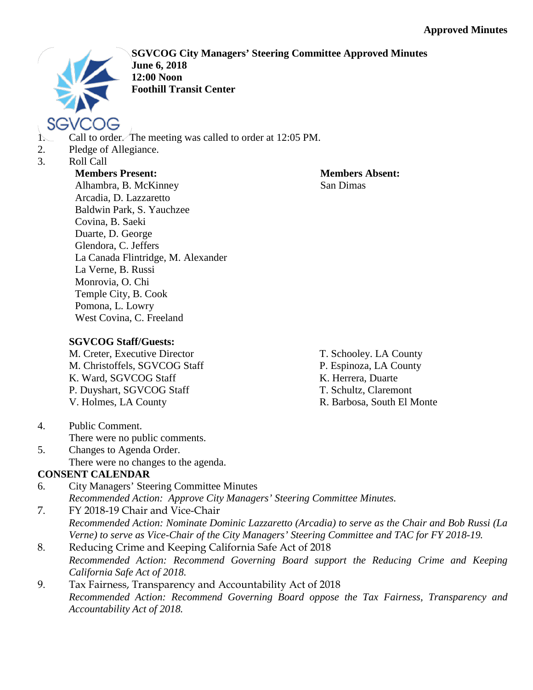

**SGVCOG City Managers' Steering Committee Approved Minutes June 6, 2018 12:00 Noon Foothill Transit Center**

- 1. Call to order. The meeting was called to order at 12:05 PM.
- 2. Pledge of Allegiance.
- 3. Roll Call

### **Members Present:**

**Members Absent:** San Dimas

Alhambra, B. McKinney Arcadia, D. Lazzaretto Baldwin Park, S. Yauchzee Covina, B. Saeki Duarte, D. George Glendora, C. Jeffers La Canada Flintridge, M. Alexander La Verne, B. Russi Monrovia, O. Chi Temple City, B. Cook Pomona, L. Lowry West Covina, C. Freeland

# **SGVCOG Staff/Guests:**

M. Creter, Executive Director M. Christoffels, SGVCOG Staff K. Ward, SGVCOG Staff P. Duyshart, SGVCOG Staff V. Holmes, LA County

- T. Schooley. LA County
- P. Espinoza, LA County
- K. Herrera, Duarte
- T. Schultz, Claremont
- R. Barbosa, South El Monte

- 4. Public Comment. There were no public comments.
- 5. Changes to Agenda Order. There were no changes to the agenda.

# **CONSENT CALENDAR**

- 6. City Managers' Steering Committee Minutes *Recommended Action: Approve City Managers' Steering Committee Minutes.*
- 7. FY 2018-19 Chair and Vice-Chair *Recommended Action: Nominate Dominic Lazzaretto (Arcadia) to serve as the Chair and Bob Russi (La Verne) to serve as Vice-Chair of the City Managers' Steering Committee and TAC for FY 2018-19.*
- 8. Reducing Crime and Keeping California Safe Act of 2018 *Recommended Action: Recommend Governing Board support the Reducing Crime and Keeping California Safe Act of 2018.*
- 9. Tax Fairness, Transparency and Accountability Act of 2018 *Recommended Action: Recommend Governing Board oppose the Tax Fairness, Transparency and Accountability Act of 2018.*